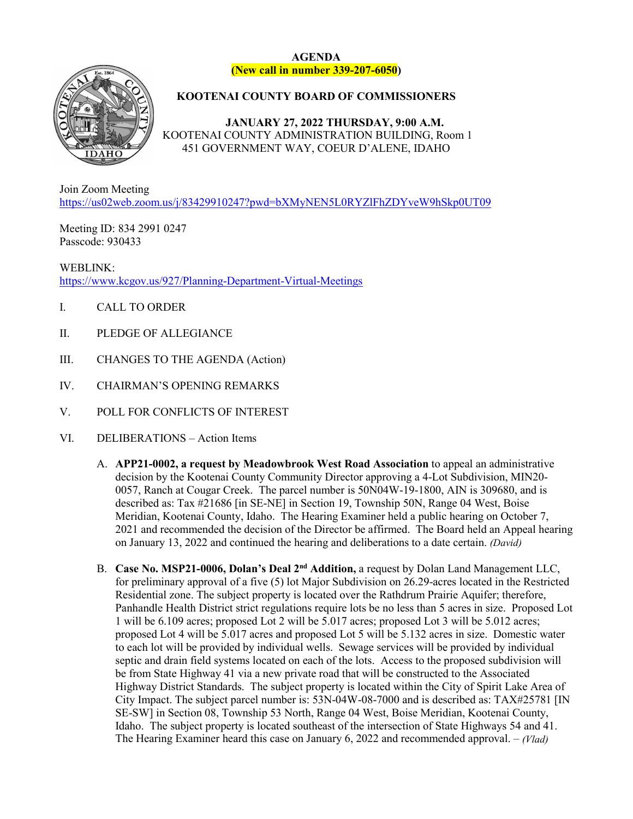## **AGENDA (New call in number 339-207-6050)**



## **KOOTENAI COUNTY BOARD OF COMMISSIONERS**

**JANUARY 27, 2022 THURSDAY, 9:00 A.M.** KOOTENAI COUNTY ADMINISTRATION BUILDING, Room 1 451 GOVERNMENT WAY, COEUR D'ALENE, IDAHO

Join Zoom Meeting <https://us02web.zoom.us/j/83429910247?pwd=bXMyNEN5L0RYZlFhZDYveW9hSkp0UT09>

Meeting ID: 834 2991 0247 Passcode: 930433

WEBLINK: <https://www.kcgov.us/927/Planning-Department-Virtual-Meetings>

- I. CALL TO ORDER
- II. PLEDGE OF ALLEGIANCE
- III. CHANGES TO THE AGENDA (Action)
- IV. CHAIRMAN'S OPENING REMARKS
- V. POLL FOR CONFLICTS OF INTEREST
- VI. DELIBERATIONS Action Items
	- A. **APP21-0002, a request by Meadowbrook West Road Association** to appeal an administrative decision by the Kootenai County Community Director approving a 4-Lot Subdivision, MIN20- 0057, Ranch at Cougar Creek. The parcel number is 50N04W-19-1800, AIN is 309680, and is described as: Tax #21686 [in SE-NE] in Section 19, Township 50N, Range 04 West, Boise Meridian, Kootenai County, Idaho. The Hearing Examiner held a public hearing on October 7, 2021 and recommended the decision of the Director be affirmed. The Board held an Appeal hearing on January 13, 2022 and continued the hearing and deliberations to a date certain. *(David)*
	- B. **Case No. MSP21-0006, Dolan's Deal 2nd Addition,** a request by Dolan Land Management LLC, for preliminary approval of a five (5) lot Major Subdivision on 26.29-acres located in the Restricted Residential zone. The subject property is located over the Rathdrum Prairie Aquifer; therefore, Panhandle Health District strict regulations require lots be no less than 5 acres in size. Proposed Lot 1 will be 6.109 acres; proposed Lot 2 will be 5.017 acres; proposed Lot 3 will be 5.012 acres; proposed Lot 4 will be 5.017 acres and proposed Lot 5 will be 5.132 acres in size. Domestic water to each lot will be provided by individual wells. Sewage services will be provided by individual septic and drain field systems located on each of the lots. Access to the proposed subdivision will be from State Highway 41 via a new private road that will be constructed to the Associated Highway District Standards. The subject property is located within the City of Spirit Lake Area of City Impact. The subject parcel number is: 53N-04W-08-7000 and is described as: TAX#25781 [IN SE-SW] in Section 08, Township 53 North, Range 04 West, Boise Meridian, Kootenai County, Idaho. The subject property is located southeast of the intersection of State Highways 54 and 41. The Hearing Examiner heard this case on January 6, 2022 and recommended approval. – *(Vlad)*